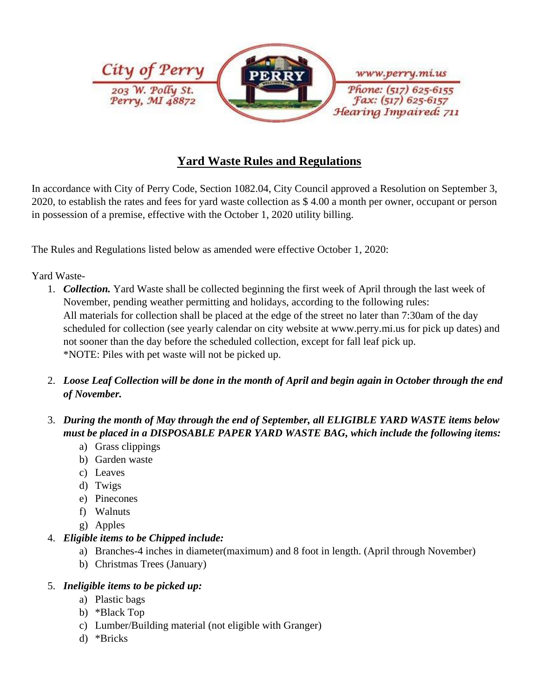

# **Yard Waste Rules and Regulations**

In accordance with City of Perry Code, Section 1082.04, City Council approved a Resolution on September 3, 2020, to establish the rates and fees for yard waste collection as \$ 4.00 a month per owner, occupant or person in possession of a premise, effective with the October 1, 2020 utility billing.

The Rules and Regulations listed below as amended were effective October 1, 2020:

#### Yard Waste-

- 1. *Collection.* Yard Waste shall be collected beginning the first week of April through the last week of November, pending weather permitting and holidays, according to the following rules: All materials for collection shall be placed at the edge of the street no later than 7:30am of the day scheduled for collection (see yearly calendar on city website at www.perry.mi.us for pick up dates) and not sooner than the day before the scheduled collection, except for fall leaf pick up. \*NOTE: Piles with pet waste will not be picked up.
- 2. *Loose Leaf Collection will be done in the month of April and begin again in October through the end of November.*
- 3. *During the month of May through the end of September, all ELIGIBLE YARD WASTE items below must be placed in a DISPOSABLE PAPER YARD WASTE BAG, which include the following items:*
	- a) Grass clippings
	- b) Garden waste
	- c) Leaves
	- d) Twigs
	- e) Pinecones
	- f) Walnuts
	- g) Apples

## 4. *Eligible items to be Chipped include:*

- a) Branches-4 inches in diameter(maximum) and 8 foot in length. (April through November)
- b) Christmas Trees (January)

#### 5. *Ineligible items to be picked up:*

- a) Plastic bags
- b) \*Black Top
- c) Lumber/Building material (not eligible with Granger)
- d) \*Bricks